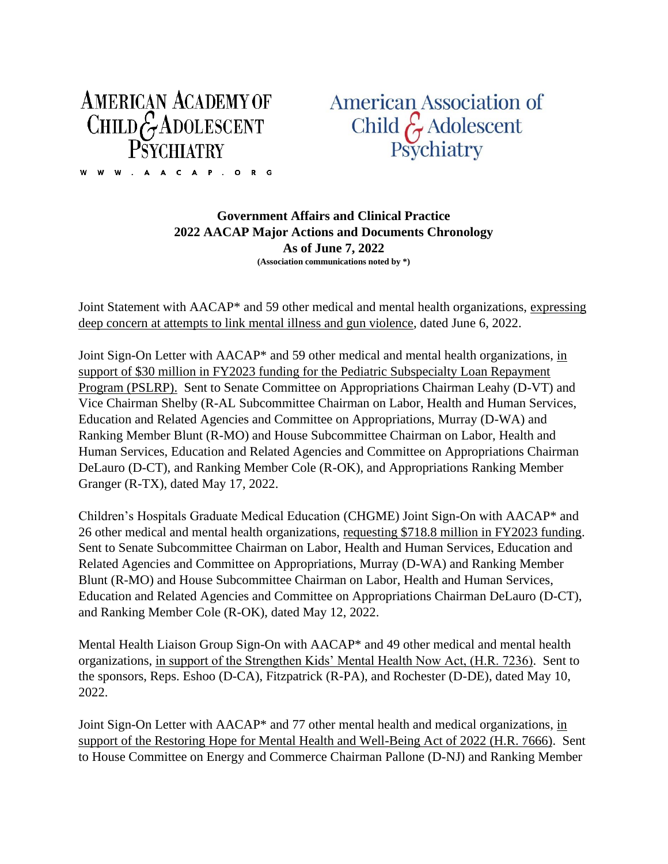## **AMERICAN ACADEMY OF** CHILD  $G$  ADOLESCENT W W . A A C A P . O R G

**American Association of** Child & Adolescent<br>Psychiatry

**Government Affairs and Clinical Practice 2022 AACAP Major Actions and Documents Chronology As of June 7, 2022 (Association communications noted by \*)**

Joint Statement with AACAP\* and 59 other medical and mental health organizations, expressing deep concern at attempts to link mental illness and gun violence, dated June 6, 2022.

Joint Sign-On Letter with AACAP\* and 59 other medical and mental health organizations, in support of \$30 million in FY2023 funding for the Pediatric Subspecialty Loan Repayment Program (PSLRP). Sent to Senate Committee on Appropriations Chairman Leahy (D-VT) and Vice Chairman Shelby (R-AL Subcommittee Chairman on Labor, Health and Human Services, Education and Related Agencies and Committee on Appropriations, Murray (D-WA) and Ranking Member Blunt (R-MO) and House Subcommittee Chairman on Labor, Health and Human Services, Education and Related Agencies and Committee on Appropriations Chairman DeLauro (D-CT), and Ranking Member Cole (R-OK), and Appropriations Ranking Member Granger (R-TX), dated May 17, 2022.

Children's Hospitals Graduate Medical Education (CHGME) Joint Sign-On with AACAP\* and 26 other medical and mental health organizations, requesting \$718.8 million in FY2023 funding. Sent to Senate Subcommittee Chairman on Labor, Health and Human Services, Education and Related Agencies and Committee on Appropriations, Murray (D-WA) and Ranking Member Blunt (R-MO) and House Subcommittee Chairman on Labor, Health and Human Services, Education and Related Agencies and Committee on Appropriations Chairman DeLauro (D-CT), and Ranking Member Cole (R-OK), dated May 12, 2022.

Mental Health Liaison Group Sign-On with AACAP\* and 49 other medical and mental health organizations, in support of the Strengthen Kids' Mental Health Now Act, (H.R. 7236). Sent to the sponsors, Reps. Eshoo (D-CA), Fitzpatrick (R-PA), and Rochester (D-DE), dated May 10, 2022.

Joint Sign-On Letter with AACAP\* and 77 other mental health and medical organizations, in support of the Restoring Hope for Mental Health and Well-Being Act of 2022 (H.R. 7666). Sent to House Committee on Energy and Commerce Chairman Pallone (D-NJ) and Ranking Member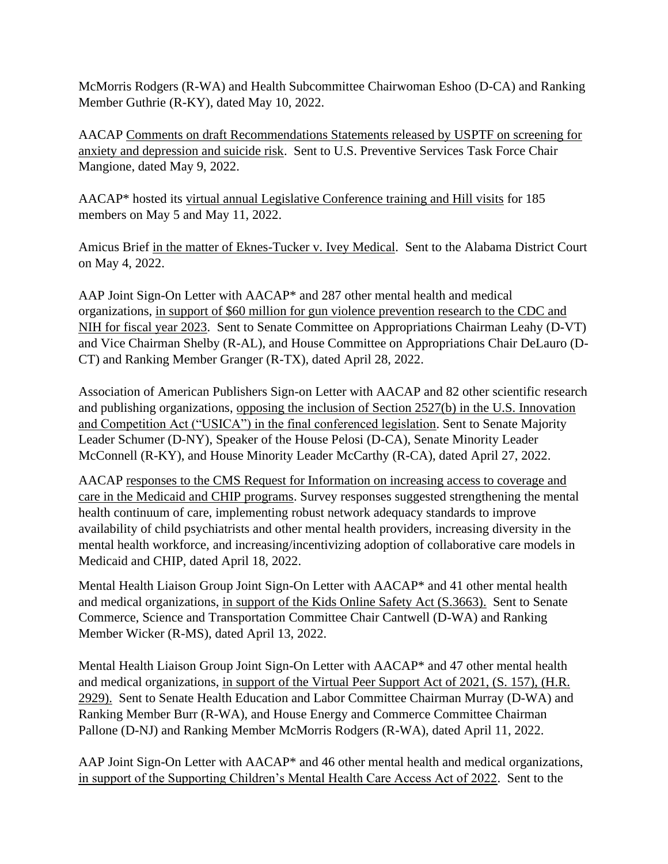McMorris Rodgers (R-WA) and Health Subcommittee Chairwoman Eshoo (D-CA) and Ranking Member Guthrie (R-KY), dated May 10, 2022.

AACAP Comments on draft Recommendations Statements released by USPTF on screening for anxiety and depression and suicide risk. Sent to U.S. Preventive Services Task Force Chair Mangione, dated May 9, 2022.

AACAP\* hosted its virtual annual Legislative Conference training and Hill visits for 185 members on May 5 and May 11, 2022.

Amicus Brief in the matter of Eknes-Tucker v. Ivey Medical. Sent to the Alabama District Court on May 4, 2022.

AAP Joint Sign-On Letter with AACAP\* and 287 other mental health and medical organizations, in support of \$60 million for gun violence prevention research to the CDC and NIH for fiscal year 2023. Sent to Senate Committee on Appropriations Chairman Leahy (D-VT) and Vice Chairman Shelby (R-AL), and House Committee on Appropriations Chair DeLauro (D-CT) and Ranking Member Granger (R-TX), dated April 28, 2022.

Association of American Publishers Sign-on Letter with AACAP and 82 other scientific research and publishing organizations, opposing the inclusion of Section 2527(b) in the U.S. Innovation and Competition Act ("USICA") in the final conferenced legislation. Sent to Senate Majority Leader Schumer (D-NY), Speaker of the House Pelosi (D-CA), Senate Minority Leader McConnell (R-KY), and House Minority Leader McCarthy (R-CA), dated April 27, 2022.

AACAP responses to the CMS Request for Information on increasing access to coverage and care in the Medicaid and CHIP programs. Survey responses suggested strengthening the mental health continuum of care, implementing robust network adequacy standards to improve availability of child psychiatrists and other mental health providers, increasing diversity in the mental health workforce, and increasing/incentivizing adoption of collaborative care models in Medicaid and CHIP, dated April 18, 2022.

Mental Health Liaison Group Joint Sign-On Letter with AACAP\* and 41 other mental health and medical organizations, in support of the Kids Online Safety Act (S.3663). Sent to Senate Commerce, Science and Transportation Committee Chair Cantwell (D-WA) and Ranking Member Wicker (R-MS), dated April 13, 2022.

Mental Health Liaison Group Joint Sign-On Letter with AACAP\* and 47 other mental health and medical organizations, in support of the Virtual Peer Support Act of 2021, (S. 157), (H.R. 2929). Sent to Senate Health Education and Labor Committee Chairman Murray (D-WA) and Ranking Member Burr (R-WA), and House Energy and Commerce Committee Chairman Pallone (D-NJ) and Ranking Member McMorris Rodgers (R-WA), dated April 11, 2022.

AAP Joint Sign-On Letter with AACAP\* and 46 other mental health and medical organizations, in support of the Supporting Children's Mental Health Care Access Act of 2022. Sent to the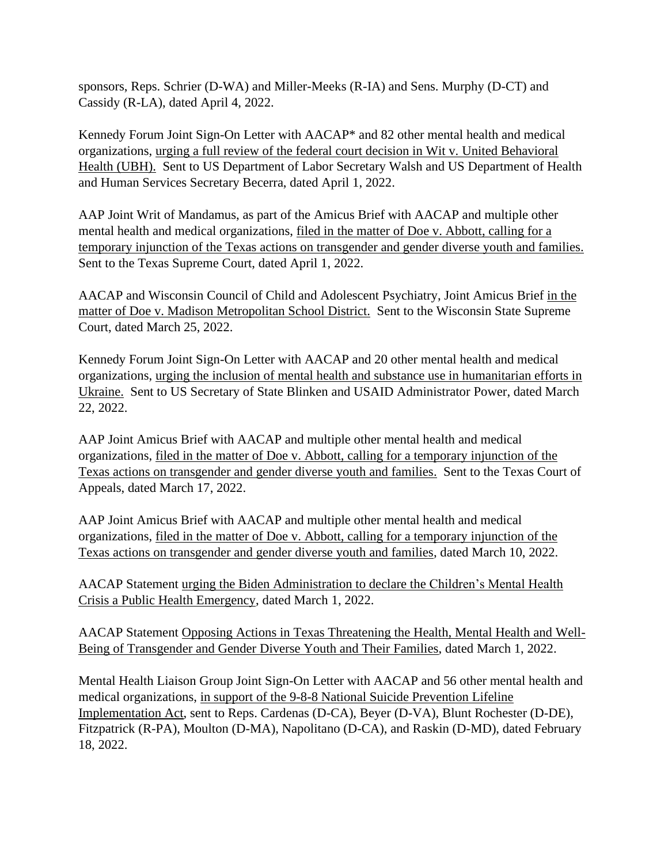sponsors, Reps. Schrier (D-WA) and Miller-Meeks (R-IA) and Sens. Murphy (D-CT) and Cassidy (R-LA), dated April 4, 2022.

Kennedy Forum Joint Sign-On Letter with AACAP\* and 82 other mental health and medical organizations, urging a full review of the federal court decision in Wit v. United Behavioral Health (UBH). Sent to US Department of Labor Secretary Walsh and US Department of Health and Human Services Secretary Becerra, dated April 1, 2022.

AAP Joint Writ of Mandamus, as part of the Amicus Brief with AACAP and multiple other mental health and medical organizations, filed in the matter of Doe v. Abbott, calling for a temporary injunction of the Texas actions on transgender and gender diverse youth and families. Sent to the Texas Supreme Court, dated April 1, 2022.

AACAP and Wisconsin Council of Child and Adolescent Psychiatry, Joint Amicus Brief in the matter of Doe v. Madison Metropolitan School District. Sent to the Wisconsin State Supreme Court, dated March 25, 2022.

Kennedy Forum Joint Sign-On Letter with AACAP and 20 other mental health and medical organizations, urging the inclusion of mental health and substance use in humanitarian efforts in Ukraine. Sent to US Secretary of State Blinken and USAID Administrator Power, dated March 22, 2022.

AAP Joint Amicus Brief with AACAP and multiple other mental health and medical organizations, filed in the matter of Doe v. Abbott, calling for a temporary injunction of the Texas actions on transgender and gender diverse youth and families. Sent to the Texas Court of Appeals, dated March 17, 2022.

AAP Joint Amicus Brief with AACAP and multiple other mental health and medical organizations, filed in the matter of Doe v. Abbott, calling for a temporary injunction of the Texas actions on transgender and gender diverse youth and families, dated March 10, 2022.

AACAP Statement urging the Biden Administration to declare the Children's Mental Health Crisis a Public Health Emergency, dated March 1, 2022.

AACAP Statement Opposing Actions in Texas Threatening the Health, Mental Health and Well-Being of Transgender and Gender Diverse Youth and Their Families, dated March 1, 2022.

Mental Health Liaison Group Joint Sign-On Letter with AACAP and 56 other mental health and medical organizations, in support of the 9-8-8 National Suicide Prevention Lifeline Implementation Act, sent to Reps. Cardenas (D-CA), Beyer (D-VA), Blunt Rochester (D-DE), Fitzpatrick (R-PA), Moulton (D-MA), Napolitano (D-CA), and Raskin (D-MD), dated February 18, 2022.